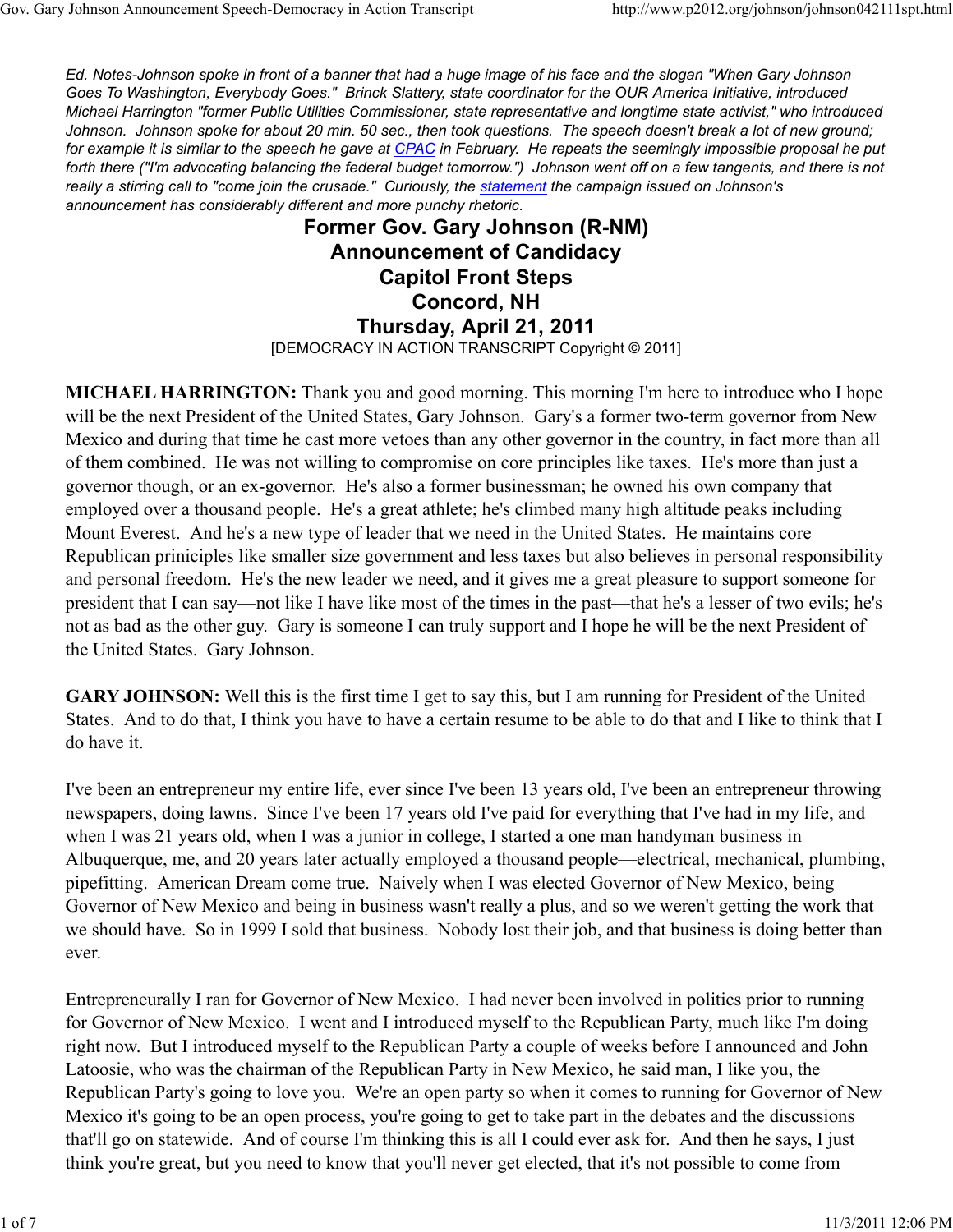Ed. Notes-Johnson spoke in front of a banner that had a huge image of his face and the slogan "When Gary Johnson Goes To Washington, Everybody Goes." Brinck Slattery, state coordinator for the OUR America Initiative, introduced Michael Harrington "former Public Utilities Commissioner, state representative and longtime state activist," who introduced Johnson. Johnson spoke for about 20 min. 50 sec., then took questions. The speech doesn't break a lot of new ground; for example it is similar to the speech he gave at CPAC in February. He repeats the seemingly impossible proposal he put forth there ("I'm advocating balancing the federal budget tomorrow.") Johnson went off on a few tangents, and there is not really a stirring call to "come join the crusade." Curiously, the statement the campaign issued on Johnson's announcement has considerably different and more punchy rhetoric.

> Former Gov. Gary Johnson (R-NM) Announcement of Candidacy Capitol Front Steps Concord, NH Thursday, April 21, 2011 [DEMOCRACY IN ACTION TRANSCRIPT Copyright © 2011]

MICHAEL HARRINGTON: Thank you and good morning. This morning I'm here to introduce who I hope will be the next President of the United States, Gary Johnson. Gary's a former two-term governor from New Mexico and during that time he cast more vetoes than any other governor in the country, in fact more than all of them combined. He was not willing to compromise on core principles like taxes. He's more than just a governor though, or an ex-governor. He's also a former businessman; he owned his own company that employed over a thousand people. He's a great athlete; he's climbed many high altitude peaks including Mount Everest. And he's a new type of leader that we need in the United States. He maintains core Republican priniciples like smaller size government and less taxes but also believes in personal responsibility and personal freedom. He's the new leader we need, and it gives me a great pleasure to support someone for president that I can say—not like I have like most of the times in the past—that he's a lesser of two evils; he's not as bad as the other guy. Gary is someone I can truly support and I hope he will be the next President of the United States. Gary Johnson.

GARY JOHNSON: Well this is the first time I get to say this, but I am running for President of the United States. And to do that, I think you have to have a certain resume to be able to do that and I like to think that I do have it.

I've been an entrepreneur my entire life, ever since I've been 13 years old, I've been an entrepreneur throwing newspapers, doing lawns. Since I've been 17 years old I've paid for everything that I've had in my life, and when I was 21 years old, when I was a junior in college, I started a one man handyman business in Albuquerque, me, and 20 years later actually employed a thousand people—electrical, mechanical, plumbing, pipefitting. American Dream come true. Naively when I was elected Governor of New Mexico, being Governor of New Mexico and being in business wasn't really a plus, and so we weren't getting the work that we should have. So in 1999 I sold that business. Nobody lost their job, and that business is doing better than ever.

Entrepreneurally I ran for Governor of New Mexico. I had never been involved in politics prior to running for Governor of New Mexico. I went and I introduced myself to the Republican Party, much like I'm doing right now. But I introduced myself to the Republican Party a couple of weeks before I announced and John Latoosie, who was the chairman of the Republican Party in New Mexico, he said man, I like you, the Republican Party's going to love you. We're an open party so when it comes to running for Governor of New Mexico it's going to be an open process, you're going to get to take part in the debates and the discussions that'll go on statewide. And of course I'm thinking this is all I could ever ask for. And then he says, I just think you're great, but you need to know that you'll never get elected, that it's not possible to come from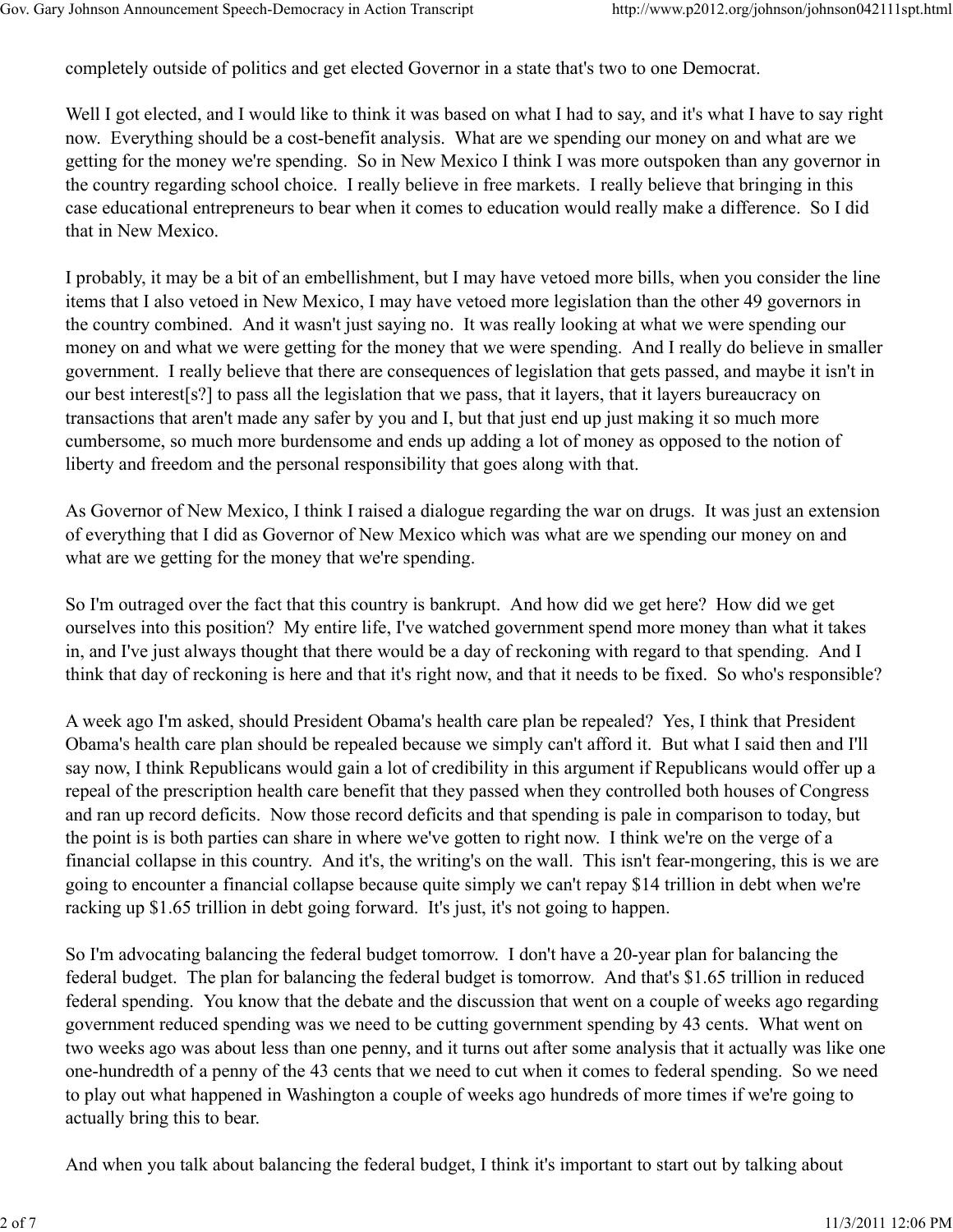completely outside of politics and get elected Governor in a state that's two to one Democrat.

Well I got elected, and I would like to think it was based on what I had to say, and it's what I have to say right now. Everything should be a cost-benefit analysis. What are we spending our money on and what are we getting for the money we're spending. So in New Mexico I think I was more outspoken than any governor in the country regarding school choice. I really believe in free markets. I really believe that bringing in this case educational entrepreneurs to bear when it comes to education would really make a difference. So I did that in New Mexico.

I probably, it may be a bit of an embellishment, but I may have vetoed more bills, when you consider the line items that I also vetoed in New Mexico, I may have vetoed more legislation than the other 49 governors in the country combined. And it wasn't just saying no. It was really looking at what we were spending our money on and what we were getting for the money that we were spending. And I really do believe in smaller government. I really believe that there are consequences of legislation that gets passed, and maybe it isn't in our best interest[s?] to pass all the legislation that we pass, that it layers, that it layers bureaucracy on transactions that aren't made any safer by you and I, but that just end up just making it so much more cumbersome, so much more burdensome and ends up adding a lot of money as opposed to the notion of liberty and freedom and the personal responsibility that goes along with that.

As Governor of New Mexico, I think I raised a dialogue regarding the war on drugs. It was just an extension of everything that I did as Governor of New Mexico which was what are we spending our money on and what are we getting for the money that we're spending.

So I'm outraged over the fact that this country is bankrupt. And how did we get here? How did we get ourselves into this position? My entire life, I've watched government spend more money than what it takes in, and I've just always thought that there would be a day of reckoning with regard to that spending. And I think that day of reckoning is here and that it's right now, and that it needs to be fixed. So who's responsible?

A week ago I'm asked, should President Obama's health care plan be repealed? Yes, I think that President Obama's health care plan should be repealed because we simply can't afford it. But what I said then and I'll say now, I think Republicans would gain a lot of credibility in this argument if Republicans would offer up a repeal of the prescription health care benefit that they passed when they controlled both houses of Congress and ran up record deficits. Now those record deficits and that spending is pale in comparison to today, but the point is is both parties can share in where we've gotten to right now. I think we're on the verge of a financial collapse in this country. And it's, the writing's on the wall. This isn't fear-mongering, this is we are going to encounter a financial collapse because quite simply we can't repay \$14 trillion in debt when we're racking up \$1.65 trillion in debt going forward. It's just, it's not going to happen.

So I'm advocating balancing the federal budget tomorrow. I don't have a 20-year plan for balancing the federal budget. The plan for balancing the federal budget is tomorrow. And that's \$1.65 trillion in reduced federal spending. You know that the debate and the discussion that went on a couple of weeks ago regarding government reduced spending was we need to be cutting government spending by 43 cents. What went on two weeks ago was about less than one penny, and it turns out after some analysis that it actually was like one one-hundredth of a penny of the 43 cents that we need to cut when it comes to federal spending. So we need to play out what happened in Washington a couple of weeks ago hundreds of more times if we're going to actually bring this to bear.

And when you talk about balancing the federal budget, I think it's important to start out by talking about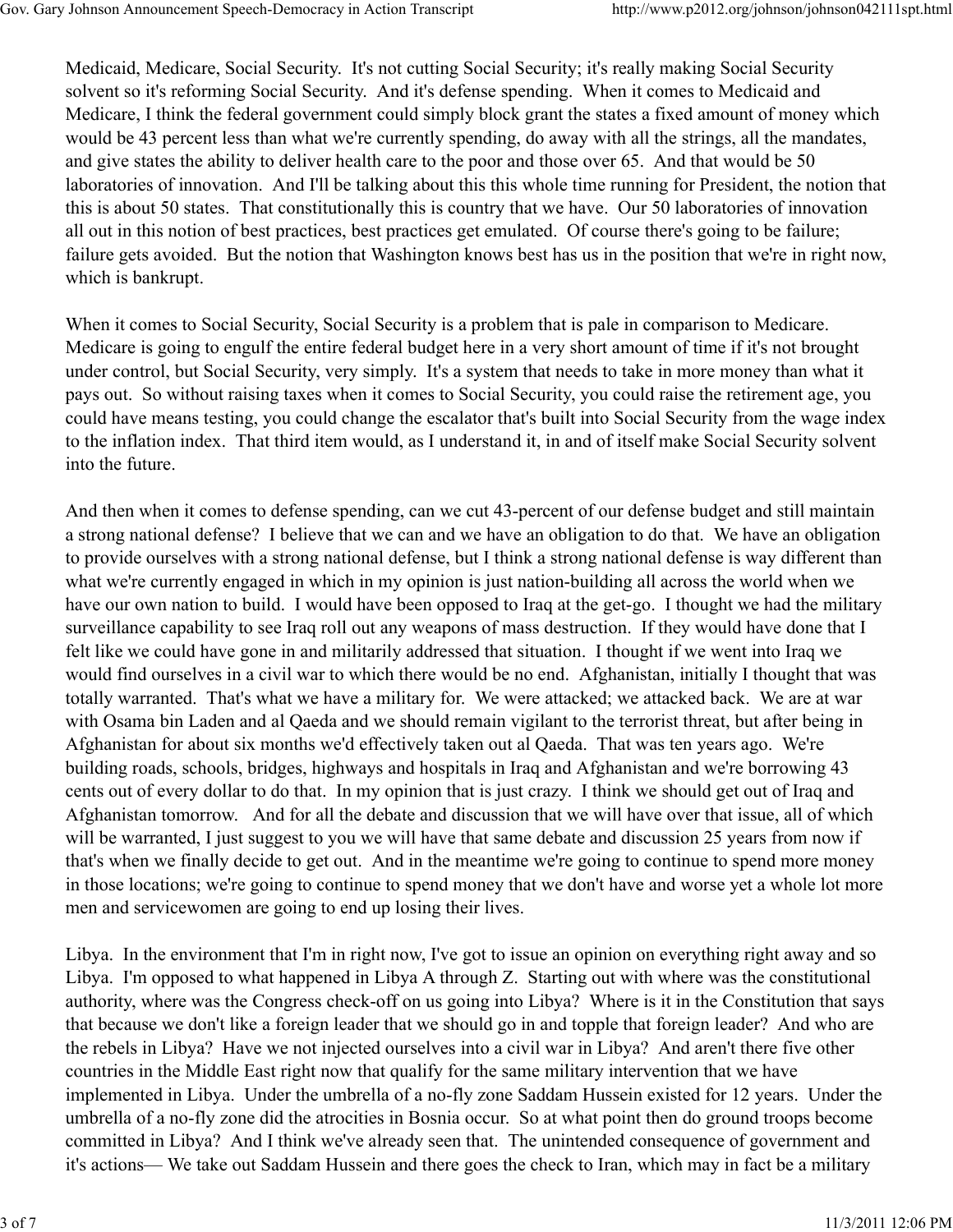Medicaid, Medicare, Social Security. It's not cutting Social Security; it's really making Social Security solvent so it's reforming Social Security. And it's defense spending. When it comes to Medicaid and Medicare, I think the federal government could simply block grant the states a fixed amount of money which would be 43 percent less than what we're currently spending, do away with all the strings, all the mandates, and give states the ability to deliver health care to the poor and those over 65. And that would be 50 laboratories of innovation. And I'll be talking about this this whole time running for President, the notion that this is about 50 states. That constitutionally this is country that we have. Our 50 laboratories of innovation all out in this notion of best practices, best practices get emulated. Of course there's going to be failure; failure gets avoided. But the notion that Washington knows best has us in the position that we're in right now, which is bankrupt.

When it comes to Social Security, Social Security is a problem that is pale in comparison to Medicare. Medicare is going to engulf the entire federal budget here in a very short amount of time if it's not brought under control, but Social Security, very simply. It's a system that needs to take in more money than what it pays out. So without raising taxes when it comes to Social Security, you could raise the retirement age, you could have means testing, you could change the escalator that's built into Social Security from the wage index to the inflation index. That third item would, as I understand it, in and of itself make Social Security solvent into the future.

And then when it comes to defense spending, can we cut 43-percent of our defense budget and still maintain a strong national defense? I believe that we can and we have an obligation to do that. We have an obligation to provide ourselves with a strong national defense, but I think a strong national defense is way different than what we're currently engaged in which in my opinion is just nation-building all across the world when we have our own nation to build. I would have been opposed to Iraq at the get-go. I thought we had the military surveillance capability to see Iraq roll out any weapons of mass destruction. If they would have done that I felt like we could have gone in and militarily addressed that situation. I thought if we went into Iraq we would find ourselves in a civil war to which there would be no end. Afghanistan, initially I thought that was totally warranted. That's what we have a military for. We were attacked; we attacked back. We are at war with Osama bin Laden and al Qaeda and we should remain vigilant to the terrorist threat, but after being in Afghanistan for about six months we'd effectively taken out al Qaeda. That was ten years ago. We're building roads, schools, bridges, highways and hospitals in Iraq and Afghanistan and we're borrowing 43 cents out of every dollar to do that. In my opinion that is just crazy. I think we should get out of Iraq and Afghanistan tomorrow. And for all the debate and discussion that we will have over that issue, all of which will be warranted, I just suggest to you we will have that same debate and discussion 25 years from now if that's when we finally decide to get out. And in the meantime we're going to continue to spend more money in those locations; we're going to continue to spend money that we don't have and worse yet a whole lot more men and servicewomen are going to end up losing their lives.

Libya. In the environment that I'm in right now, I've got to issue an opinion on everything right away and so Libya. I'm opposed to what happened in Libya A through Z. Starting out with where was the constitutional authority, where was the Congress check-off on us going into Libya? Where is it in the Constitution that says that because we don't like a foreign leader that we should go in and topple that foreign leader? And who are the rebels in Libya? Have we not injected ourselves into a civil war in Libya? And aren't there five other countries in the Middle East right now that qualify for the same military intervention that we have implemented in Libya. Under the umbrella of a no-fly zone Saddam Hussein existed for 12 years. Under the umbrella of a no-fly zone did the atrocities in Bosnia occur. So at what point then do ground troops become committed in Libya? And I think we've already seen that. The unintended consequence of government and it's actions— We take out Saddam Hussein and there goes the check to Iran, which may in fact be a military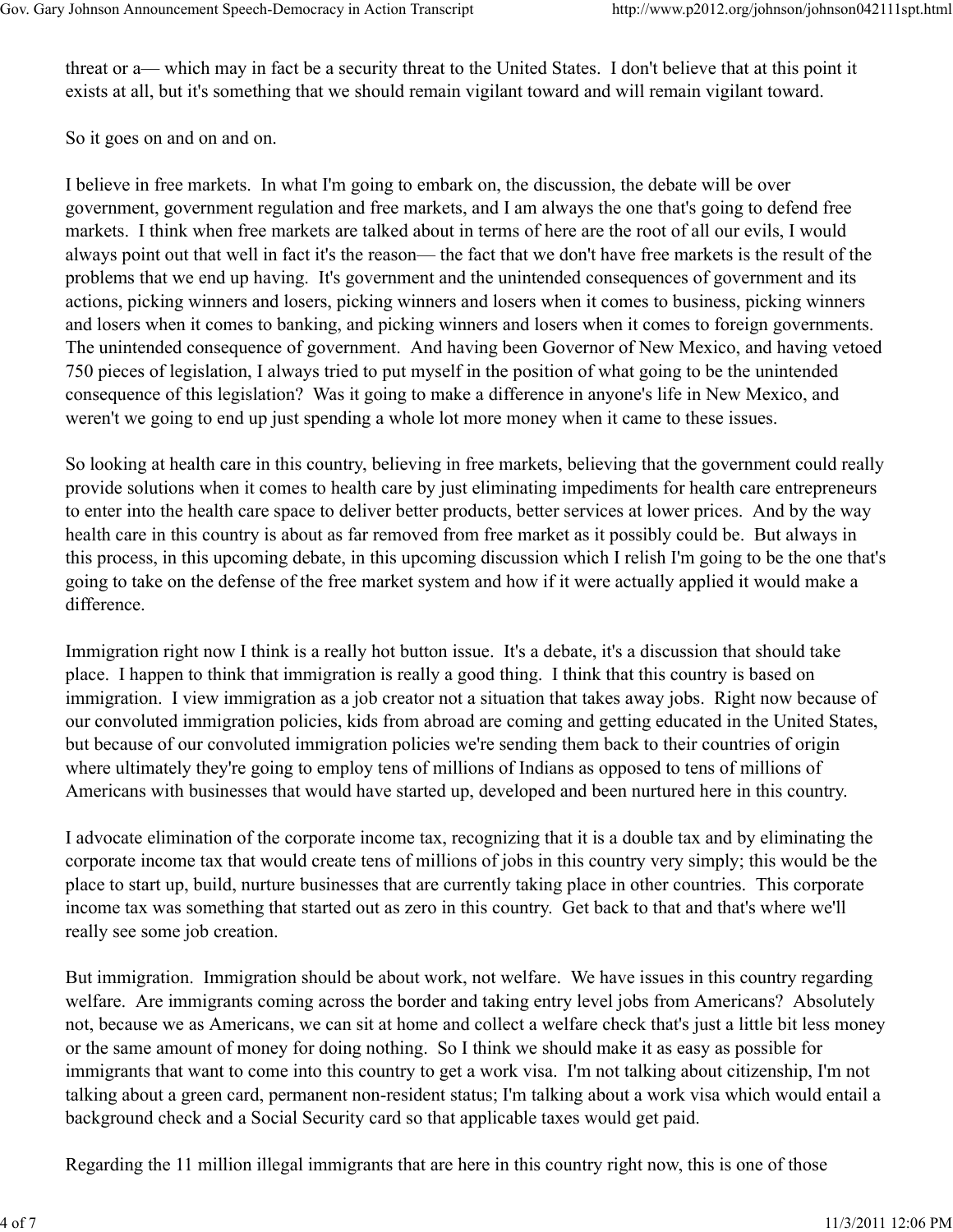threat or a— which may in fact be a security threat to the United States. I don't believe that at this point it exists at all, but it's something that we should remain vigilant toward and will remain vigilant toward.

So it goes on and on and on.

I believe in free markets. In what I'm going to embark on, the discussion, the debate will be over government, government regulation and free markets, and I am always the one that's going to defend free markets. I think when free markets are talked about in terms of here are the root of all our evils, I would always point out that well in fact it's the reason— the fact that we don't have free markets is the result of the problems that we end up having. It's government and the unintended consequences of government and its actions, picking winners and losers, picking winners and losers when it comes to business, picking winners and losers when it comes to banking, and picking winners and losers when it comes to foreign governments. The unintended consequence of government. And having been Governor of New Mexico, and having vetoed 750 pieces of legislation, I always tried to put myself in the position of what going to be the unintended consequence of this legislation? Was it going to make a difference in anyone's life in New Mexico, and weren't we going to end up just spending a whole lot more money when it came to these issues.

So looking at health care in this country, believing in free markets, believing that the government could really provide solutions when it comes to health care by just eliminating impediments for health care entrepreneurs to enter into the health care space to deliver better products, better services at lower prices. And by the way health care in this country is about as far removed from free market as it possibly could be. But always in this process, in this upcoming debate, in this upcoming discussion which I relish I'm going to be the one that's going to take on the defense of the free market system and how if it were actually applied it would make a difference.

Immigration right now I think is a really hot button issue. It's a debate, it's a discussion that should take place. I happen to think that immigration is really a good thing. I think that this country is based on immigration. I view immigration as a job creator not a situation that takes away jobs. Right now because of our convoluted immigration policies, kids from abroad are coming and getting educated in the United States, but because of our convoluted immigration policies we're sending them back to their countries of origin where ultimately they're going to employ tens of millions of Indians as opposed to tens of millions of Americans with businesses that would have started up, developed and been nurtured here in this country.

I advocate elimination of the corporate income tax, recognizing that it is a double tax and by eliminating the corporate income tax that would create tens of millions of jobs in this country very simply; this would be the place to start up, build, nurture businesses that are currently taking place in other countries. This corporate income tax was something that started out as zero in this country. Get back to that and that's where we'll really see some job creation.

But immigration. Immigration should be about work, not welfare. We have issues in this country regarding welfare. Are immigrants coming across the border and taking entry level jobs from Americans? Absolutely not, because we as Americans, we can sit at home and collect a welfare check that's just a little bit less money or the same amount of money for doing nothing. So I think we should make it as easy as possible for immigrants that want to come into this country to get a work visa. I'm not talking about citizenship, I'm not talking about a green card, permanent non-resident status; I'm talking about a work visa which would entail a background check and a Social Security card so that applicable taxes would get paid.

Regarding the 11 million illegal immigrants that are here in this country right now, this is one of those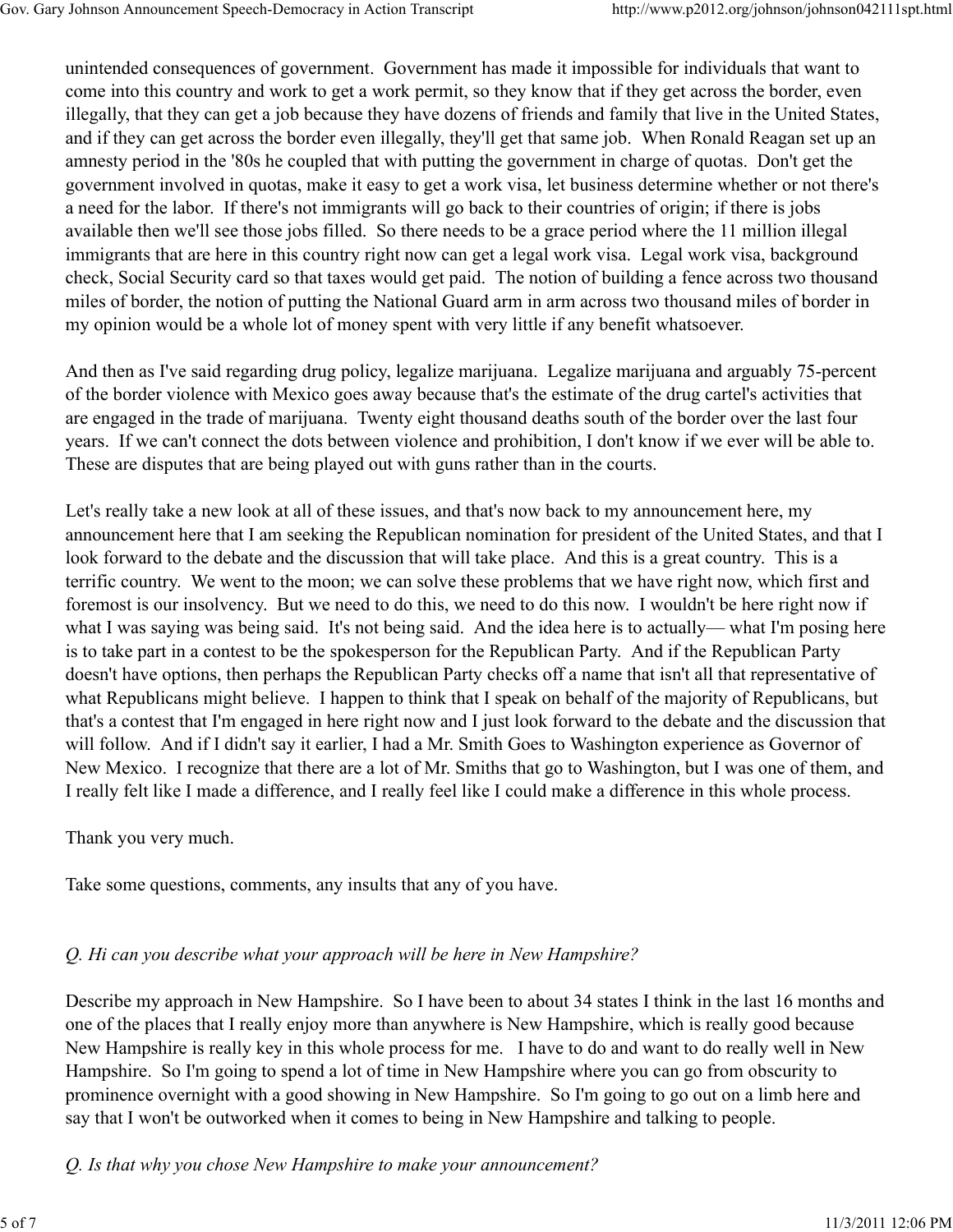unintended consequences of government. Government has made it impossible for individuals that want to come into this country and work to get a work permit, so they know that if they get across the border, even illegally, that they can get a job because they have dozens of friends and family that live in the United States, and if they can get across the border even illegally, they'll get that same job. When Ronald Reagan set up an amnesty period in the '80s he coupled that with putting the government in charge of quotas. Don't get the government involved in quotas, make it easy to get a work visa, let business determine whether or not there's a need for the labor. If there's not immigrants will go back to their countries of origin; if there is jobs available then we'll see those jobs filled. So there needs to be a grace period where the 11 million illegal immigrants that are here in this country right now can get a legal work visa. Legal work visa, background check, Social Security card so that taxes would get paid. The notion of building a fence across two thousand miles of border, the notion of putting the National Guard arm in arm across two thousand miles of border in my opinion would be a whole lot of money spent with very little if any benefit whatsoever.

And then as I've said regarding drug policy, legalize marijuana. Legalize marijuana and arguably 75-percent of the border violence with Mexico goes away because that's the estimate of the drug cartel's activities that are engaged in the trade of marijuana. Twenty eight thousand deaths south of the border over the last four years. If we can't connect the dots between violence and prohibition, I don't know if we ever will be able to. These are disputes that are being played out with guns rather than in the courts.

Let's really take a new look at all of these issues, and that's now back to my announcement here, my announcement here that I am seeking the Republican nomination for president of the United States, and that I look forward to the debate and the discussion that will take place. And this is a great country. This is a terrific country. We went to the moon; we can solve these problems that we have right now, which first and foremost is our insolvency. But we need to do this, we need to do this now. I wouldn't be here right now if what I was saying was being said. It's not being said. And the idea here is to actually— what I'm posing here is to take part in a contest to be the spokesperson for the Republican Party. And if the Republican Party doesn't have options, then perhaps the Republican Party checks off a name that isn't all that representative of what Republicans might believe. I happen to think that I speak on behalf of the majority of Republicans, but that's a contest that I'm engaged in here right now and I just look forward to the debate and the discussion that will follow. And if I didn't say it earlier, I had a Mr. Smith Goes to Washington experience as Governor of New Mexico. I recognize that there are a lot of Mr. Smiths that go to Washington, but I was one of them, and I really felt like I made a difference, and I really feel like I could make a difference in this whole process.

Thank you very much.

Take some questions, comments, any insults that any of you have.

# Q. Hi can you describe what your approach will be here in New Hampshire?

Describe my approach in New Hampshire. So I have been to about 34 states I think in the last 16 months and one of the places that I really enjoy more than anywhere is New Hampshire, which is really good because New Hampshire is really key in this whole process for me. I have to do and want to do really well in New Hampshire. So I'm going to spend a lot of time in New Hampshire where you can go from obscurity to prominence overnight with a good showing in New Hampshire. So I'm going to go out on a limb here and say that I won't be outworked when it comes to being in New Hampshire and talking to people.

Q. Is that why you chose New Hampshire to make your announcement?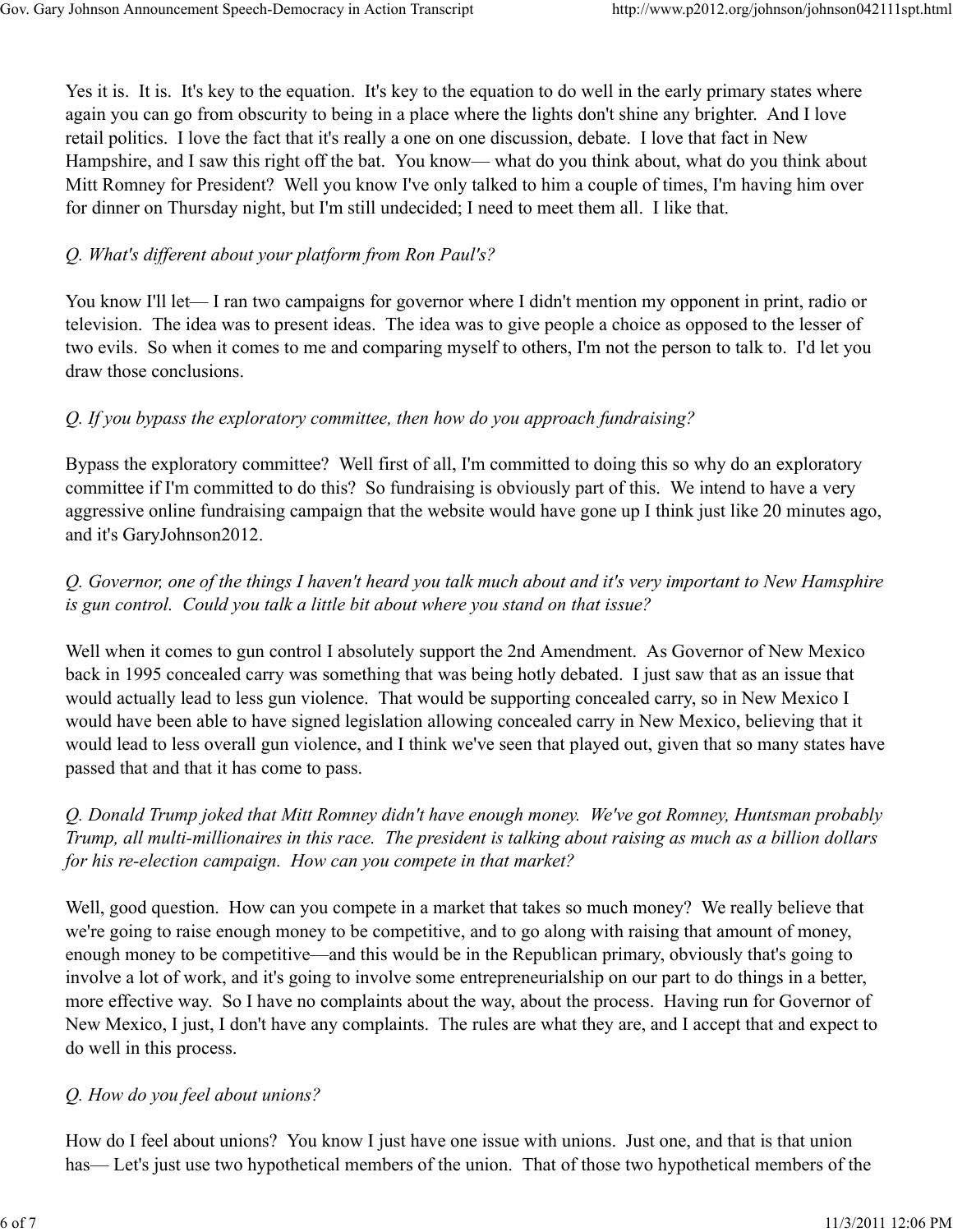Yes it is. It is. It's key to the equation. It's key to the equation to do well in the early primary states where again you can go from obscurity to being in a place where the lights don't shine any brighter. And I love retail politics. I love the fact that it's really a one on one discussion, debate. I love that fact in New Hampshire, and I saw this right off the bat. You know— what do you think about, what do you think about Mitt Romney for President? Well you know I've only talked to him a couple of times, I'm having him over for dinner on Thursday night, but I'm still undecided; I need to meet them all. I like that.

### Q. What's different about your platform from Ron Paul's?

You know I'll let— I ran two campaigns for governor where I didn't mention my opponent in print, radio or television. The idea was to present ideas. The idea was to give people a choice as opposed to the lesser of two evils. So when it comes to me and comparing myself to others, I'm not the person to talk to. I'd let you draw those conclusions.

#### Q. If you bypass the exploratory committee, then how do you approach fundraising?

Bypass the exploratory committee? Well first of all, I'm committed to doing this so why do an exploratory committee if I'm committed to do this? So fundraising is obviously part of this. We intend to have a very aggressive online fundraising campaign that the website would have gone up I think just like 20 minutes ago, and it's GaryJohnson2012.

## Q. Governor, one of the things I haven't heard you talk much about and it's very important to New Hamsphire is gun control. Could you talk a little bit about where you stand on that issue?

Well when it comes to gun control I absolutely support the 2nd Amendment. As Governor of New Mexico back in 1995 concealed carry was something that was being hotly debated. I just saw that as an issue that would actually lead to less gun violence. That would be supporting concealed carry, so in New Mexico I would have been able to have signed legislation allowing concealed carry in New Mexico, believing that it would lead to less overall gun violence, and I think we've seen that played out, given that so many states have passed that and that it has come to pass.

Q. Donald Trump joked that Mitt Romney didn't have enough money. We've got Romney, Huntsman probably Trump, all multi-millionaires in this race. The president is talking about raising as much as a billion dollars for his re-election campaign. How can you compete in that market?

Well, good question. How can you compete in a market that takes so much money? We really believe that we're going to raise enough money to be competitive, and to go along with raising that amount of money, enough money to be competitive—and this would be in the Republican primary, obviously that's going to involve a lot of work, and it's going to involve some entrepreneurialship on our part to do things in a better, more effective way. So I have no complaints about the way, about the process. Having run for Governor of New Mexico, I just, I don't have any complaints. The rules are what they are, and I accept that and expect to do well in this process.

#### Q. How do you feel about unions?

How do I feel about unions? You know I just have one issue with unions. Just one, and that is that union has— Let's just use two hypothetical members of the union. That of those two hypothetical members of the